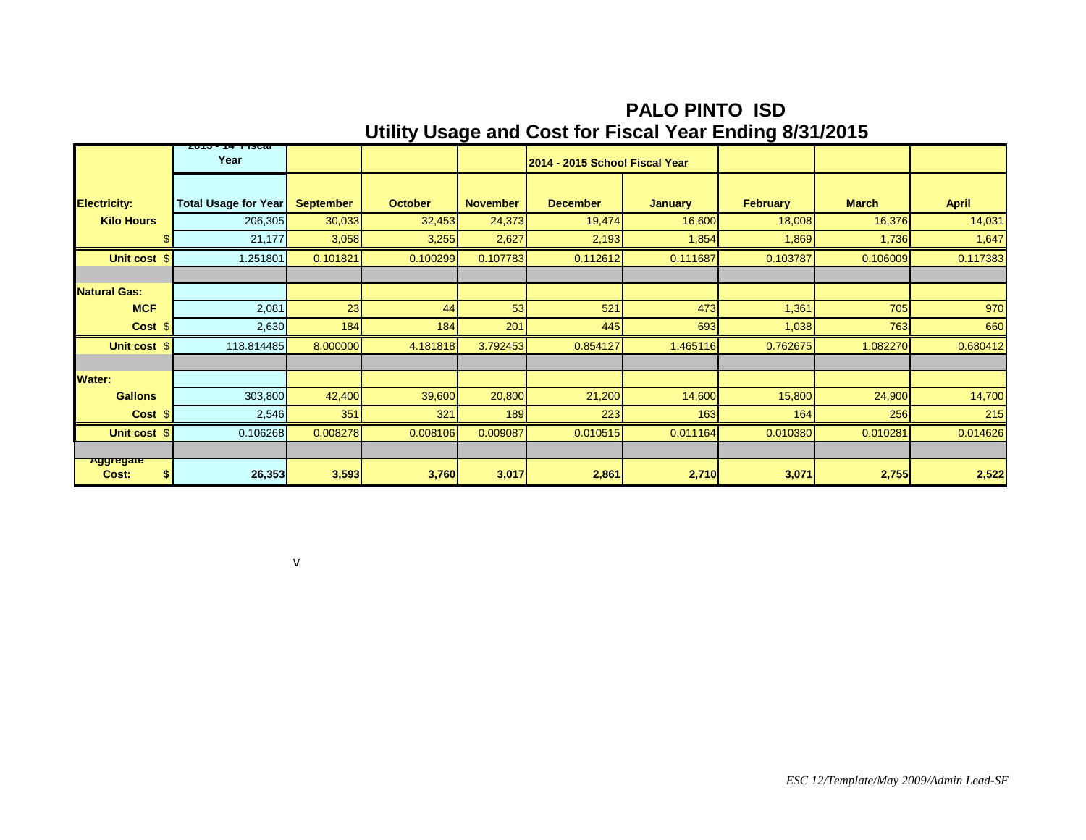**PALO PINTO ISD Utility Usage and Cost for Fiscal Year Ending 8/31/2015**

|                                 | <b>AU DEALE TISTOL</b>      |                  |                |                 |                                |                |                 |              |              |
|---------------------------------|-----------------------------|------------------|----------------|-----------------|--------------------------------|----------------|-----------------|--------------|--------------|
|                                 | Year                        |                  |                |                 | 2014 - 2015 School Fiscal Year |                |                 |              |              |
|                                 |                             |                  |                |                 |                                |                |                 |              |              |
| <b>Electricity:</b>             | <b>Total Usage for Year</b> | <b>September</b> | <b>October</b> | <b>November</b> | <b>December</b>                | <b>January</b> | <b>February</b> | <b>March</b> | <b>April</b> |
| <b>Kilo Hours</b>               | 206,305                     | 30,033           | 32,453         | 24,373          | 19,474                         | 16,600         | 18,008          | 16,376       | 14,031       |
| \$                              | 21,177                      | 3,058            | 3,255          | 2,627           | 2,193                          | 1,854          | 1,869           | 1,736        | 1,647        |
| Unit cost \$                    | 1.251801                    | 0.101821         | 0.100299       | 0.107783        | 0.112612                       | 0.111687       | 0.103787        | 0.106009     | 0.117383     |
|                                 |                             |                  |                |                 |                                |                |                 |              |              |
| <b>Natural Gas:</b>             |                             |                  |                |                 |                                |                |                 |              |              |
| <b>MCF</b>                      | 2,081                       | 23               | 44             | 53              | 521                            | 473            | 1,361           | 705          | 970          |
| Cost \$                         | 2,630                       | 184              | 184            | 201             | 445                            | 693            | 1,038           | 763          | 660          |
| Unit cost \$                    | 118.814485                  | 8.000000         | 4.181818       | 3.792453        | 0.854127                       | 1.465116       | 0.762675        | 1.082270     | 0.680412     |
|                                 |                             |                  |                |                 |                                |                |                 |              |              |
| <b>Water:</b>                   |                             |                  |                |                 |                                |                |                 |              |              |
| <b>Gallons</b>                  | 303,800                     | 42,400           | 39,600         | 20,800          | 21,200                         | 14,600         | 15,800          | 24,900       | 14,700       |
| Cost \$                         | 2,546                       | 351              | 321            | 189             | 223                            | 163            | 164             | 256          | 215          |
| Unit cost \$                    | 0.106268                    | 0.008278         | 0.008106       | 0.009087        | 0.010515                       | 0.011164       | 0.010380        | 0.010281     | 0.014626     |
|                                 |                             |                  |                |                 |                                |                |                 |              |              |
| <b>Aggregate</b><br>\$<br>Cost: | 26,353                      | 3,593            | 3,760          | 3,017           | 2,861                          | 2,710          | 3,071           | 2,755        | 2,522        |

v